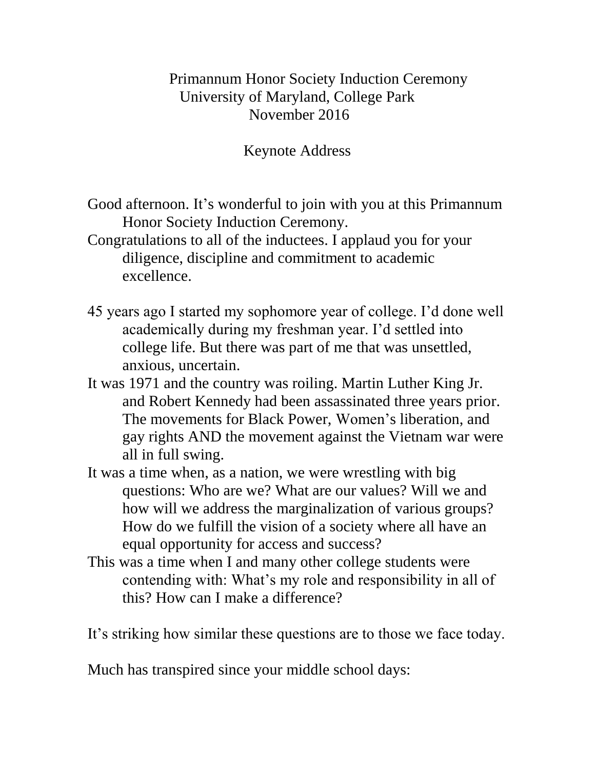## Primannum Honor Society Induction Ceremony University of Maryland, College Park November 2016

## Keynote Address

- Good afternoon. It's wonderful to join with you at this Primannum Honor Society Induction Ceremony.
- Congratulations to all of the inductees. I applaud you for your diligence, discipline and commitment to academic excellence.
- 45 years ago I started my sophomore year of college. I'd done well academically during my freshman year. I'd settled into college life. But there was part of me that was unsettled, anxious, uncertain.
- It was 1971 and the country was roiling. Martin Luther King Jr. and Robert Kennedy had been assassinated three years prior. The movements for Black Power, Women's liberation, and gay rights AND the movement against the Vietnam war were all in full swing.
- It was a time when, as a nation, we were wrestling with big questions: Who are we? What are our values? Will we and how will we address the marginalization of various groups? How do we fulfill the vision of a society where all have an equal opportunity for access and success?
- This was a time when I and many other college students were contending with: What's my role and responsibility in all of this? How can I make a difference?

It's striking how similar these questions are to those we face today.

Much has transpired since your middle school days: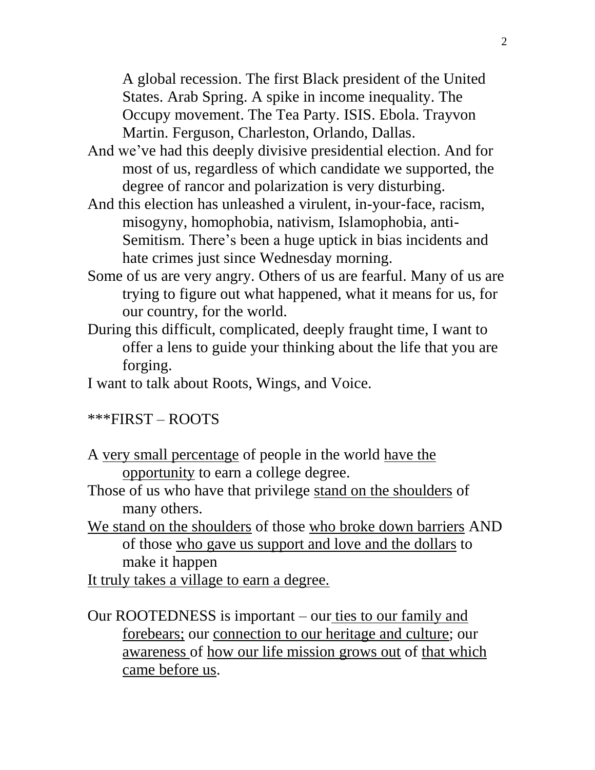A global recession. The first Black president of the United States. Arab Spring. A spike in income inequality. The Occupy movement. The Tea Party. ISIS. Ebola. Trayvon Martin. Ferguson, Charleston, Orlando, Dallas.

- And we've had this deeply divisive presidential election. And for most of us, regardless of which candidate we supported, the degree of rancor and polarization is very disturbing.
- And this election has unleashed a virulent, in-your-face, racism, misogyny, homophobia, nativism, Islamophobia, anti-Semitism. There's been a huge uptick in bias incidents and hate crimes just since Wednesday morning.
- Some of us are very angry. Others of us are fearful. Many of us are trying to figure out what happened, what it means for us, for our country, for the world.
- During this difficult, complicated, deeply fraught time, I want to offer a lens to guide your thinking about the life that you are forging.
- I want to talk about Roots, Wings, and Voice.

## \*\*\*FIRST – ROOTS

- A very small percentage of people in the world have the opportunity to earn a college degree.
- Those of us who have that privilege stand on the shoulders of many others.
- We stand on the shoulders of those who broke down barriers AND of those who gave us support and love and the dollars to make it happen

It truly takes a village to earn a degree.

Our ROOTEDNESS is important – our ties to our family and forebears; our connection to our heritage and culture; our awareness of how our life mission grows out of that which came before us.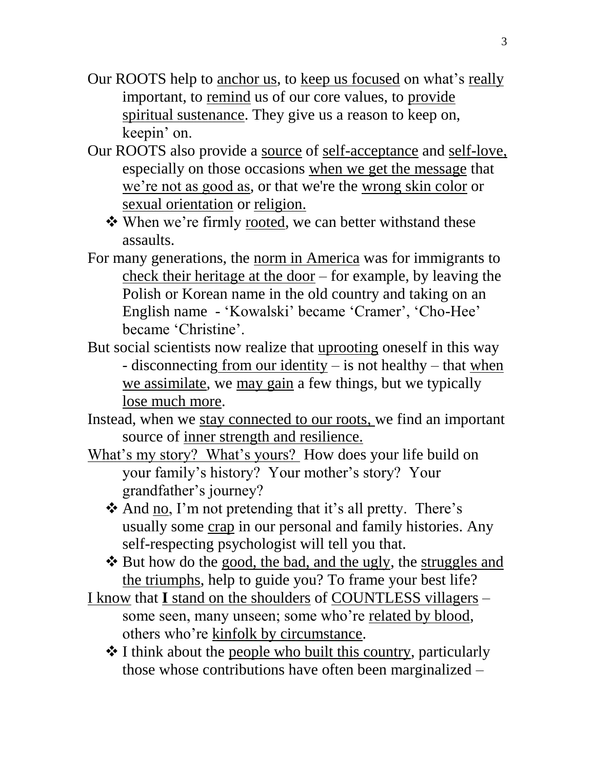- Our ROOTS help to anchor us, to keep us focused on what's really important, to remind us of our core values, to provide spiritual sustenance. They give us a reason to keep on, keepin' on.
- Our ROOTS also provide a source of self-acceptance and self-love, especially on those occasions when we get the message that we're not as good as, or that we're the wrong skin color or sexual orientation or religion.
	- When we're firmly rooted, we can better withstand these assaults.
- For many generations, the norm in America was for immigrants to check their heritage at the door – for example, by leaving the Polish or Korean name in the old country and taking on an English name - 'Kowalski' became 'Cramer', 'Cho-Hee' became 'Christine'.
- But social scientists now realize that uprooting oneself in this way - disconnecting from our identity  $-$  is not healthy  $-$  that when we assimilate, we may gain a few things, but we typically lose much more.
- Instead, when we stay connected to our roots, we find an important source of inner strength and resilience.
- What's my story? What's yours? How does your life build on your family's history? Your mother's story? Your grandfather's journey?
	- And no, I'm not pretending that it's all pretty. There's usually some crap in our personal and family histories. Any self-respecting psychologist will tell you that.
	- \* But how do the good, the bad, and the ugly, the struggles and the triumphs, help to guide you? To frame your best life?
- I know that **I** stand on the shoulders of COUNTLESS villagers some seen, many unseen; some who're related by blood, others who're kinfolk by circumstance.
	- $\triangle$  I think about the people who built this country, particularly those whose contributions have often been marginalized –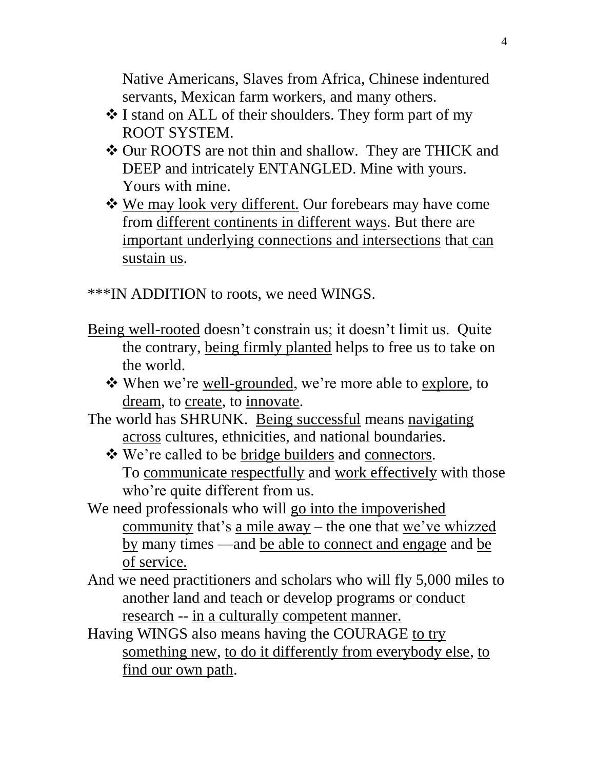Native Americans, Slaves from Africa, Chinese indentured servants, Mexican farm workers, and many others.

- I stand on ALL of their shoulders. They form part of my ROOT SYSTEM.
- Our ROOTS are not thin and shallow. They are THICK and DEEP and intricately ENTANGLED. Mine with yours. Yours with mine.
- We may look very different. Our forebears may have come from different continents in different ways. But there are important underlying connections and intersections that can sustain us.

\*\*\*IN ADDITION to roots, we need WINGS.

- Being well-rooted doesn't constrain us; it doesn't limit us. Quite the contrary, being firmly planted helps to free us to take on the world.
	- When we're well-grounded, we're more able to explore, to dream, to create, to innovate.
- The world has SHRUNK. Being successful means navigating across cultures, ethnicities, and national boundaries.
	- $\triangle$  We're called to be bridge builders and connectors. To communicate respectfully and work effectively with those who're quite different from us.
- We need professionals who will go into the impoverished community that's a mile away – the one that we've whizzed by many times —and be able to connect and engage and be of service.
- And we need practitioners and scholars who will fly 5,000 miles to another land and teach or develop programs or conduct research -- in a culturally competent manner.
- Having WINGS also means having the COURAGE to try something new, to do it differently from everybody else, to find our own path.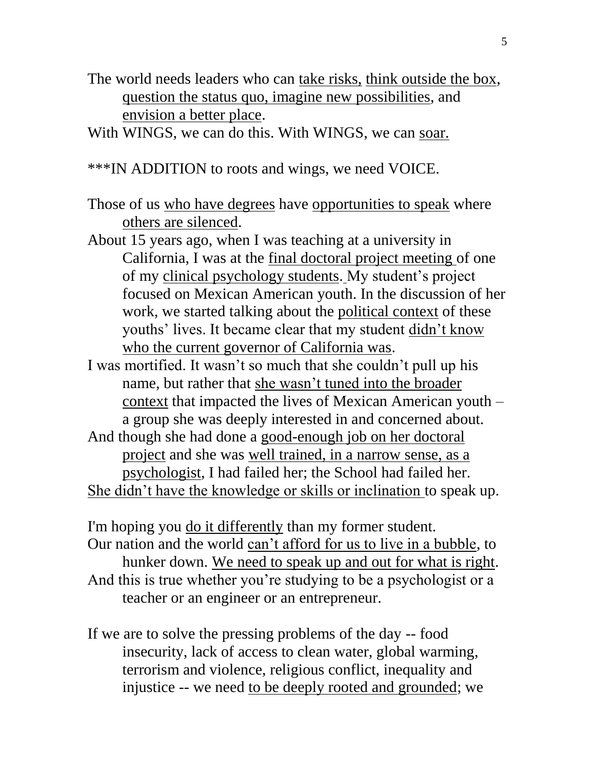The world needs leaders who can take risks, think outside the box, question the status quo, imagine new possibilities, and envision a better place.

With WINGS, we can do this. With WINGS, we can soar.

\*\*\*IN ADDITION to roots and wings, we need VOICE.

Those of us who have degrees have opportunities to speak where others are silenced.

- About 15 years ago, when I was teaching at a university in California, I was at the final doctoral project meeting of one of my clinical psychology students. My student's project focused on Mexican American youth. In the discussion of her work, we started talking about the political context of these youths' lives. It became clear that my student didn't know who the current governor of California was.
- I was mortified. It wasn't so much that she couldn't pull up his name, but rather that she wasn't tuned into the broader context that impacted the lives of Mexican American youth – a group she was deeply interested in and concerned about.
- And though she had done a good-enough job on her doctoral project and she was well trained, in a narrow sense, as a psychologist, I had failed her; the School had failed her. She didn't have the knowledge or skills or inclination to speak up.

I'm hoping you do it differently than my former student. Our nation and the world can't afford for us to live in a bubble, to hunker down. We need to speak up and out for what is right. And this is true whether you're studying to be a psychologist or a teacher or an engineer or an entrepreneur.

If we are to solve the pressing problems of the day -- food insecurity, lack of access to clean water, global warming, terrorism and violence, religious conflict, inequality and injustice -- we need to be deeply rooted and grounded; we